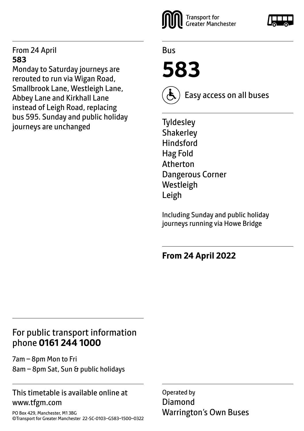#### From 24 April **583**

Monday to Saturday journeys are rerouted to run via Wigan Road, Smallbrook Lane, Westleigh Lane, Abbey Lane and Kirkhall Lane instead of Leigh Road, replacing bus 595. Sunday and public holiday journeys are unchanged



Bus

**583**



Easy access on all buses

**Tyldesley Shakerley** Hindsford Hag Fold Atherton Dangerous Corner Westleigh Leigh

Including Sunday and public holiday journeys running via Howe Bridge

**From 24 April 2022**

## For public transport information phone **0161 244 1000**

7am – 8pm Mon to Fri 8am – 8pm Sat, Sun & public holidays

#### This timetable is available online at www.tfgm.com

PO Box 429, Manchester, M1 3BG ©Transport for Greater Manchester 22-SC-0103–G583–1500–0322

Operated by Diamond Warrington's Own Buses

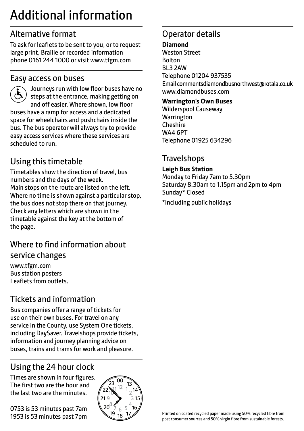## Additional information

## Alternative format

To ask for leaflets to be sent to you, or to request large print, Braille or recorded information phone 0161 244 1000 or visit www.tfgm.com

#### Easy access on buses



 Journeys run with low floor buses have no steps at the entrance, making getting on and off easier. Where shown, low floor buses have a ramp for access and a dedicated space for wheelchairs and pushchairs inside the bus. The bus operator will always try to provide easy access services where these services are scheduled to run.

## Using this timetable

Timetables show the direction of travel, bus numbers and the days of the week. Main stops on the route are listed on the left. Where no time is shown against a particular stop, the bus does not stop there on that journey. Check any letters which are shown in the timetable against the key at the bottom of the page.

## Where to find information about service changes

www.tfgm.com Bus station posters Leaflets from outlets.

## Tickets and information

Bus companies offer a range of tickets for use on their own buses. For travel on any service in the County, use System One tickets, including DaySaver. Travelshops provide tickets, information and journey planning advice on buses, trains and trams for work and pleasure.

## Using the 24 hour clock

Times are shown in four figures. The first two are the hour and the last two are the minutes.

0753 is 53 minutes past 7am 1953 is 53 minutes past 7pm



## Operator details

#### **Diamond**

Weston Street Bolton BL3 2AW Telephone 01204 937535 Email commentsdiamondbusnorthwest@rotala.co.uk www.diamondbuses.com

#### **Warrington's Own Buses**

Wilderspool Causeway **Warrington Cheshire** WA4 6PT Telephone 01925 634296

## **Travelshops**

#### **Leigh Bus Station**

Monday to Friday 7am to 5.30pm Saturday 8.30am to 1.15pm and 2pm to 4pm Sunday\* Closed

\*Including public holidays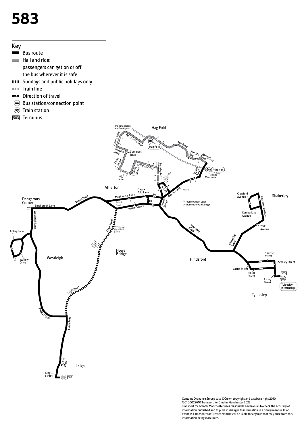# **583**



Contains Ordnance Survey data ©Crown copyright and database right 2010 ©0100022610 Transport for Greater Manchester 2022 Transport for Greater Manchester uses reasonable endeavours to check the accuracy of information published and to publish changes to information in a timely manner. In no event will Transport for Greater Manchester be liable for any loss that may arise from this information being inaccurate.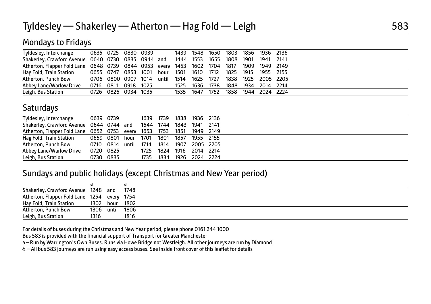#### Mondays to Fridays

| Tyldesley, Interchange                                                                   | 0635 0725 0830 0939 |  |  |           |                |      | 1439 1548 1650 1803 1856 1936 2136       |  |
|------------------------------------------------------------------------------------------|---------------------|--|--|-----------|----------------|------|------------------------------------------|--|
| Shakerley, Crawford Avenue 0640 0730 0835 0944 and 1444 1553 1655 1808 1901 1941 2141    |                     |  |  |           |                |      |                                          |  |
| Atherton, Flapper Fold Lane 0648 0739 0844 0953 every 1453 1602 1704 1817 1909 1949 2149 |                     |  |  |           |                |      |                                          |  |
| Hag Fold, Train Station 	 0655 0747 0853 1001 hour 1501 1610 1712 1825 1915 1955 2155    |                     |  |  |           |                |      |                                          |  |
| Atherton, Punch Bowl                                                                     | 0706 0800 0907 1014 |  |  |           |                |      | until 1514 1625 1727 1838 1925 2005 2205 |  |
| Abbey Lane/Warlow Drive                                                                  | 0716 0811 0918 1025 |  |  |           | 1525 1636 1738 | 1848 | 1934 2014 2214                           |  |
| Leigh, Bus Station                                                                       | 0726 0826 0934 1035 |  |  | 1535 1647 | 1752           |      | 1858 1944 2024 2224                      |  |
|                                                                                          |                     |  |  |           |                |      |                                          |  |

## **Saturdays**

| Tyldesley, Interchange                                               | 0639 0739                               |           |  |           | 1639 1739 1838 1936 2136       |  |  |
|----------------------------------------------------------------------|-----------------------------------------|-----------|--|-----------|--------------------------------|--|--|
| Shakerley, Crawford Avenue 0644 0744 and 1644 1744 1843 1941 2141    |                                         |           |  |           |                                |  |  |
| Atherton, Flapper Fold Lane 0652 0753 every 1653 1753 1851 1949 2149 |                                         |           |  |           |                                |  |  |
| Hag Fold, Train Station                                              | 0659 0801 hour 1701 1801 1857 1955 2155 |           |  |           |                                |  |  |
| Atherton, Punch Bowl                                                 |                                         | 0710 0814 |  |           | until 1714 1814 1907 2005 2205 |  |  |
| Abbey Lane/Warlow Drive                                              |                                         | 0720 0825 |  | 1725 1824 | 1916 2014 2214                 |  |  |
| Leigh, Bus Station                                                   |                                         | 0730 0835 |  | 1735 1834 | 1926 2024 2224                 |  |  |
|                                                                      |                                         |           |  |           |                                |  |  |

#### Sundays and public holidays (except Christmas and New Year period)

| Shakerley, Crawford Avenue 1248 and 1748    |      |                 |      |  |
|---------------------------------------------|------|-----------------|------|--|
| Atherton, Flapper Fold Lane 1254 every 1754 |      |                 |      |  |
| Hag Fold, Train Station                     |      | 1302 hour 1802  |      |  |
| Atherton, Punch Bowl                        |      | 1306 until 1806 |      |  |
| Leigh, Bus Station                          | 1316 |                 | 1816 |  |

For details of buses during the Christmas and New Year period, please phone 0161 244 1000

Bus 583 is provided with the financial support of Transport for Greater Manchester

a – Run by Warrington's Own Buses. Runs via Howe Bridge not Westleigh. All other journeys are run by Diamond

W– All bus 583 journeys are run using easy access buses. See inside front cover of this leaflet for details